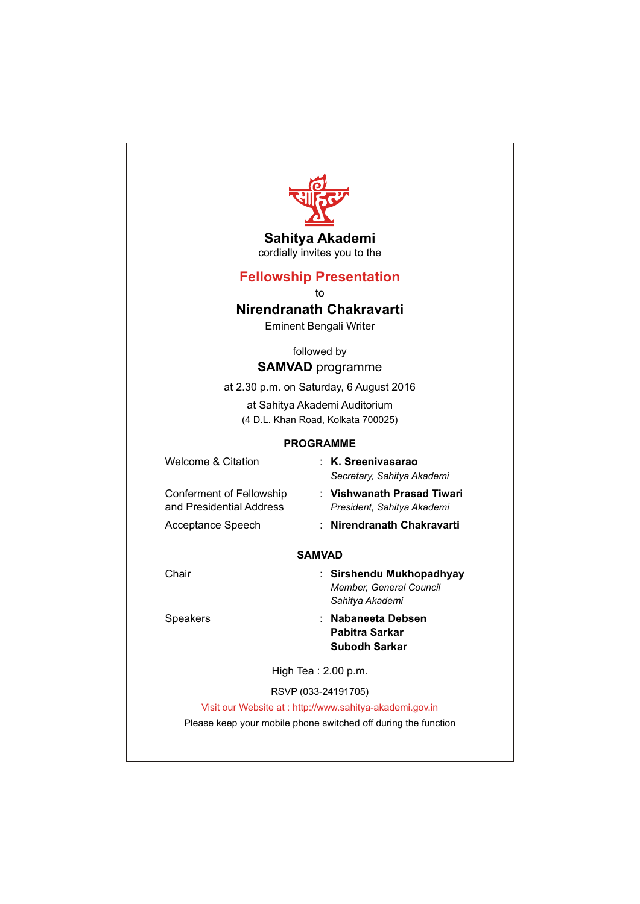